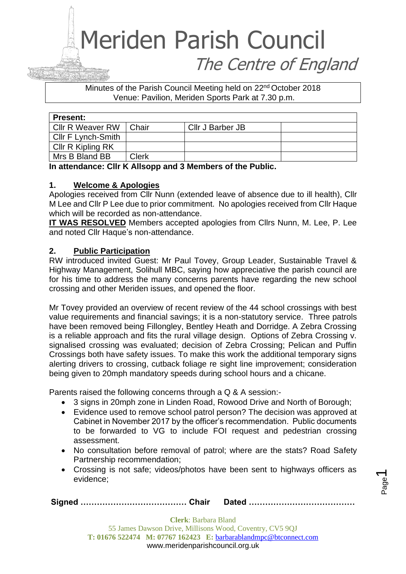### Meriden Parish Council The Centre of England

Minutes of the Parish Council Meeting held on 22<sup>nd</sup> October 2018 Venue: Pavilion, Meriden Sports Park at 7.30 p.m.

| <b>Present:</b>    |              |                  |  |
|--------------------|--------------|------------------|--|
| Cllr R Weaver RW   | Chair        | Cllr J Barber JB |  |
| Cllr F Lynch-Smith |              |                  |  |
| Cllr R Kipling RK  |              |                  |  |
| Mrs B Bland BB     | <b>Clerk</b> |                  |  |

**In attendance: Cllr K Allsopp and 3 Members of the Public.** 

#### **1. Welcome & Apologies**

Apologies received from Cllr Nunn (extended leave of absence due to ill health), Cllr M Lee and Cllr P Lee due to prior commitment. No apologies received from Cllr Haque which will be recorded as non-attendance.

**IT WAS RESOLVED** Members accepted apologies from Cllrs Nunn, M. Lee, P. Lee and noted Cllr Haque's non-attendance.

#### **2. Public Participation**

RW introduced invited Guest: Mr Paul Tovey, Group Leader, Sustainable Travel & Highway Management, Solihull MBC, saying how appreciative the parish council are for his time to address the many concerns parents have regarding the new school crossing and other Meriden issues, and opened the floor.

Mr Tovey provided an overview of recent review of the 44 school crossings with best value requirements and financial savings; it is a non-statutory service. Three patrols have been removed being Fillongley, Bentley Heath and Dorridge. A Zebra Crossing is a reliable approach and fits the rural village design. Options of Zebra Crossing v. signalised crossing was evaluated; decision of Zebra Crossing; Pelican and Puffin Crossings both have safety issues. To make this work the additional temporary signs alerting drivers to crossing, cutback foliage re sight line improvement; consideration being given to 20mph mandatory speeds during school hours and a chicane.

Parents raised the following concerns through a Q & A session:-

- 3 signs in 20mph zone in Linden Road, Rowood Drive and North of Borough:
- Evidence used to remove school patrol person? The decision was approved at Cabinet in November 2017 by the officer's recommendation. Public documents to be forwarded to VG to include FOI request and pedestrian crossing assessment.
- No consultation before removal of patrol; where are the stats? Road Safety Partnership recommendation;
- Crossing is not safe; videos/photos have been sent to highways officers as evidence;

Page  $\overline{\phantom{0}}$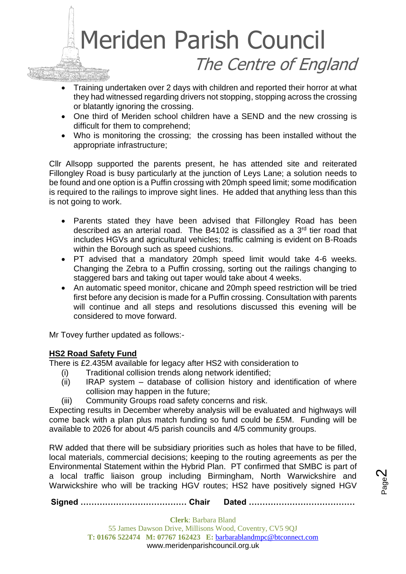

- Training undertaken over 2 days with children and reported their horror at what they had witnessed regarding drivers not stopping, stopping across the crossing or blatantly ignoring the crossing.
- One third of Meriden school children have a SEND and the new crossing is difficult for them to comprehend;
- Who is monitoring the crossing; the crossing has been installed without the appropriate infrastructure;

Cllr Allsopp supported the parents present, he has attended site and reiterated Fillongley Road is busy particularly at the junction of Leys Lane; a solution needs to be found and one option is a Puffin crossing with 20mph speed limit; some modification is required to the railings to improve sight lines. He added that anything less than this is not going to work.

- Parents stated they have been advised that Fillongley Road has been described as an arterial road. The B4102 is classified as a 3<sup>rd</sup> tier road that includes HGVs and agricultural vehicles; traffic calming is evident on B-Roads within the Borough such as speed cushions.
- PT advised that a mandatory 20mph speed limit would take 4-6 weeks. Changing the Zebra to a Puffin crossing, sorting out the railings changing to staggered bars and taking out taper would take about 4 weeks.
- An automatic speed monitor, chicane and 20mph speed restriction will be tried first before any decision is made for a Puffin crossing. Consultation with parents will continue and all steps and resolutions discussed this evening will be considered to move forward.

Mr Tovey further updated as follows:-

#### **HS2 Road Safety Fund**

There is £2.435M available for legacy after HS2 with consideration to

- (i) Traditional collision trends along network identified;
- (ii) IRAP system database of collision history and identification of where collision may happen in the future;
- (iii) Community Groups road safety concerns and risk.

Expecting results in December whereby analysis will be evaluated and highways will come back with a plan plus match funding so fund could be £5M. Funding will be available to 2026 for about 4/5 parish councils and 4/5 community groups.

RW added that there will be subsidiary priorities such as holes that have to be filled, local materials, commercial decisions; keeping to the routing agreements as per the Environmental Statement within the Hybrid Plan. PT confirmed that SMBC is part of a local traffic liaison group including Birmingham, North Warwickshire and Warwickshire who will be tracking HGV routes; HS2 have positively signed HGV

Page  $\boldsymbol{\sim}$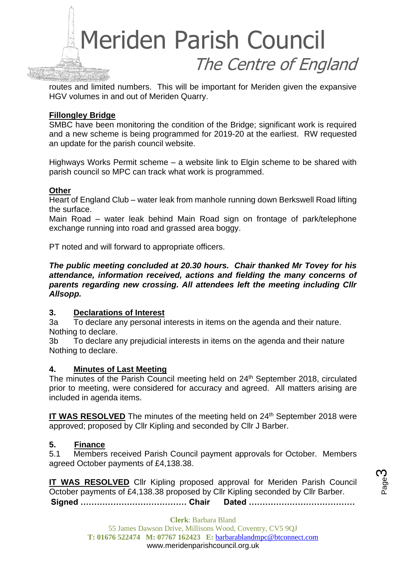

routes and limited numbers. This will be important for Meriden given the expansive HGV volumes in and out of Meriden Quarry.

#### **Fillongley Bridge**

SMBC have been monitoring the condition of the Bridge; significant work is required and a new scheme is being programmed for 2019-20 at the earliest. RW requested an update for the parish council website.

Highways Works Permit scheme – a website link to Elgin scheme to be shared with parish council so MPC can track what work is programmed.

#### **Other**

Heart of England Club – water leak from manhole running down Berkswell Road lifting the surface.

Main Road – water leak behind Main Road sign on frontage of park/telephone exchange running into road and grassed area boggy.

PT noted and will forward to appropriate officers.

*The public meeting concluded at 20.30 hours. Chair thanked Mr Tovey for his attendance, information received, actions and fielding the many concerns of parents regarding new crossing. All attendees left the meeting including Cllr Allsopp.*

#### **3. Declarations of Interest**

3a To declare any personal interests in items on the agenda and their nature. Nothing to declare.

3b To declare any prejudicial interests in items on the agenda and their nature Nothing to declare.

#### **4. Minutes of Last Meeting**

The minutes of the Parish Council meeting held on 24<sup>th</sup> September 2018, circulated prior to meeting, were considered for accuracy and agreed. All matters arising are included in agenda items.

IT WAS RESOLVED The minutes of the meeting held on 24<sup>th</sup> September 2018 were approved; proposed by Cllr Kipling and seconded by Cllr J Barber.

#### **5. Finance**

5.1 Members received Parish Council payment approvals for October. Members agreed October payments of £4,138.38.

**Signed ………………………………… Chair Dated ………………………………… IT WAS RESOLVED** Cllr Kipling proposed approval for Meriden Parish Council October payments of £4,138.38 proposed by Cllr Kipling seconded by Cllr Barber.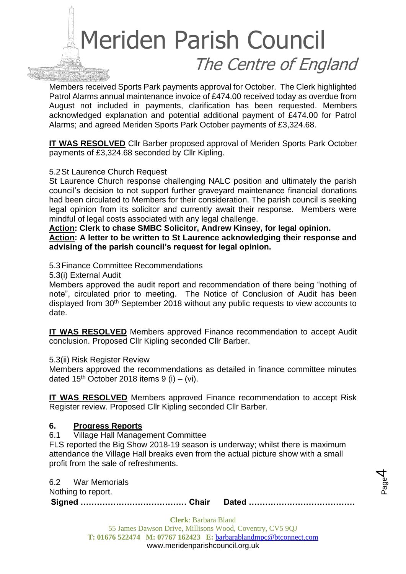# Meriden Parish Council The Centre of England

Members received Sports Park payments approval for October. The Clerk highlighted Patrol Alarms annual maintenance invoice of £474.00 received today as overdue from August not included in payments, clarification has been requested. Members acknowledged explanation and potential additional payment of £474.00 for Patrol Alarms; and agreed Meriden Sports Park October payments of £3,324.68.

**IT WAS RESOLVED** Cllr Barber proposed approval of Meriden Sports Park October payments of £3,324.68 seconded by Cllr Kipling.

#### 5.2St Laurence Church Request

St Laurence Church response challenging NALC position and ultimately the parish council's decision to not support further graveyard maintenance financial donations had been circulated to Members for their consideration. The parish council is seeking legal opinion from its solicitor and currently await their response. Members were mindful of legal costs associated with any legal challenge.

**Action: Clerk to chase SMBC Solicitor, Andrew Kinsey, for legal opinion.**

**Action: A letter to be written to St Laurence acknowledging their response and advising of the parish council's request for legal opinion.**

#### 5.3Finance Committee Recommendations

5.3(i) External Audit

Members approved the audit report and recommendation of there being "nothing of note", circulated prior to meeting. The Notice of Conclusion of Audit has been displayed from 30<sup>th</sup> September 2018 without any public requests to view accounts to date.

**IT WAS RESOLVED** Members approved Finance recommendation to accept Audit conclusion. Proposed Cllr Kipling seconded Cllr Barber.

#### 5.3(ii) Risk Register Review

Members approved the recommendations as detailed in finance committee minutes dated  $15<sup>th</sup>$  October 2018 items 9 (i) – (vi).

**IT WAS RESOLVED** Members approved Finance recommendation to accept Risk Register review. Proposed Cllr Kipling seconded Cllr Barber.

#### **6. Progress Reports**

6.1 Village Hall Management Committee

FLS reported the Big Show 2018-19 season is underway; whilst there is maximum attendance the Village Hall breaks even from the actual picture show with a small profit from the sale of refreshments.

6.2 War Memorials

Nothing to report.

**Signed ………………………………… Chair Dated …………………………………**

Page 4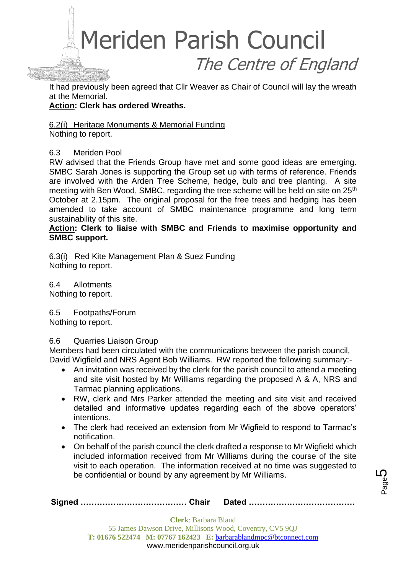

It had previously been agreed that Cllr Weaver as Chair of Council will lay the wreath at the Memorial.

#### **Action: Clerk has ordered Wreaths.**

6.2(i) Heritage Monuments & Memorial Funding Nothing to report.

#### 6.3 Meriden Pool

RW advised that the Friends Group have met and some good ideas are emerging. SMBC Sarah Jones is supporting the Group set up with terms of reference. Friends are involved with the Arden Tree Scheme, hedge, bulb and tree planting. A site meeting with Ben Wood, SMBC, regarding the tree scheme will be held on site on 25<sup>th</sup> October at 2.15pm. The original proposal for the free trees and hedging has been amended to take account of SMBC maintenance programme and long term sustainability of this site.

**Action: Clerk to liaise with SMBC and Friends to maximise opportunity and SMBC support.** 

6.3(i) Red Kite Management Plan & Suez Funding Nothing to report.

6.4 Allotments Nothing to report.

6.5 Footpaths/Forum Nothing to report.

6.6 Quarries Liaison Group

Members had been circulated with the communications between the parish council, David Wigfield and NRS Agent Bob Williams. RW reported the following summary:-

- An invitation was received by the clerk for the parish council to attend a meeting and site visit hosted by Mr Williams regarding the proposed A & A, NRS and Tarmac planning applications.
- RW, clerk and Mrs Parker attended the meeting and site visit and received detailed and informative updates regarding each of the above operators' intentions.
- The clerk had received an extension from Mr Wigfield to respond to Tarmac's notification.
- On behalf of the parish council the clerk drafted a response to Mr Wigfield which included information received from Mr Williams during the course of the site visit to each operation. The information received at no time was suggested to be confidential or bound by any agreement by Mr Williams.

Page 5

|  | <b>Clerk:</b> Barbara Bland                                      |  |  |  |
|--|------------------------------------------------------------------|--|--|--|
|  | 55 James Dawson Drive, Millisons Wood, Coventry, CV5 9QJ         |  |  |  |
|  | T: 01676 522474 M: 07767 162423 E: barbarablandmpc@btconnect.com |  |  |  |

#### www.meridenparishcouncil.org.uk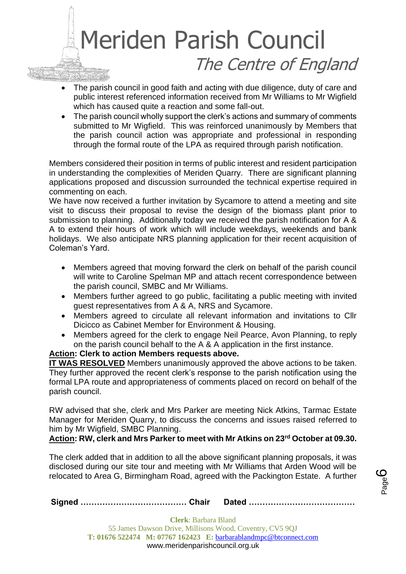## Meriden Parish Council The Centre of England

- The parish council in good faith and acting with due diligence, duty of care and public interest referenced information received from Mr Williams to Mr Wigfield which has caused quite a reaction and some fall-out.
- The parish council wholly support the clerk's actions and summary of comments submitted to Mr Wigfield. This was reinforced unanimously by Members that the parish council action was appropriate and professional in responding through the formal route of the LPA as required through parish notification.

Members considered their position in terms of public interest and resident participation in understanding the complexities of Meriden Quarry. There are significant planning applications proposed and discussion surrounded the technical expertise required in commenting on each.

We have now received a further invitation by Sycamore to attend a meeting and site visit to discuss their proposal to revise the design of the biomass plant prior to submission to planning. Additionally today we received the parish notification for A & A to extend their hours of work which will include weekdays, weekends and bank holidays. We also anticipate NRS planning application for their recent acquisition of Coleman's Yard.

- Members agreed that moving forward the clerk on behalf of the parish council will write to Caroline Spelman MP and attach recent correspondence between the parish council, SMBC and Mr Williams.
- Members further agreed to go public, facilitating a public meeting with invited guest representatives from A & A, NRS and Sycamore.
- Members agreed to circulate all relevant information and invitations to Cllr Dicicco as Cabinet Member for Environment & Housing.
- Members agreed for the clerk to engage Neil Pearce, Avon Planning, to reply on the parish council behalf to the A & A application in the first instance.

#### **Action: Clerk to action Members requests above.**

**IT WAS RESOLVED** Members unanimously approved the above actions to be taken. They further approved the recent clerk's response to the parish notification using the formal LPA route and appropriateness of comments placed on record on behalf of the parish council.

RW advised that she, clerk and Mrs Parker are meeting Nick Atkins, Tarmac Estate Manager for Meriden Quarry, to discuss the concerns and issues raised referred to him by Mr Wigfield, SMBC Planning.

#### **Action: RW, clerk and Mrs Parker to meet with Mr Atkins on 23rd October at 09.30.**

The clerk added that in addition to all the above significant planning proposals, it was disclosed during our site tour and meeting with Mr Williams that Arden Wood will be relocated to Area G, Birmingham Road, agreed with the Packington Estate. A further

Page ပ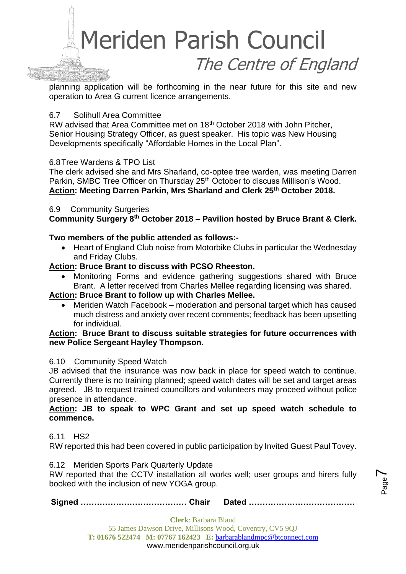

planning application will be forthcoming in the near future for this site and new operation to Area G current licence arrangements.

#### 6.7 Solihull Area Committee

RW advised that Area Committee met on 18th October 2018 with John Pitcher, Senior Housing Strategy Officer, as guest speaker. His topic was New Housing Developments specifically "Affordable Homes in the Local Plan".

#### 6.8Tree Wardens & TPO List

The clerk advised she and Mrs Sharland, co-optee tree warden, was meeting Darren Parkin, SMBC Tree Officer on Thursday 25<sup>th</sup> October to discuss Millison's Wood. **Action: Meeting Darren Parkin, Mrs Sharland and Clerk 25th October 2018.**

#### 6.9 Community Surgeries

**Community Surgery 8th October 2018 – Pavilion hosted by Bruce Brant & Clerk.** 

#### **Two members of the public attended as follows:-**

• Heart of England Club noise from Motorbike Clubs in particular the Wednesday and Friday Clubs.

#### **Action: Bruce Brant to discuss with PCSO Rheeston.**

• Monitoring Forms and evidence gathering suggestions shared with Bruce Brant. A letter received from Charles Mellee regarding licensing was shared.

#### **Action: Bruce Brant to follow up with Charles Mellee.**

• Meriden Watch Facebook – moderation and personal target which has caused much distress and anxiety over recent comments; feedback has been upsetting for individual.

#### **Action: Bruce Brant to discuss suitable strategies for future occurrences with new Police Sergeant Hayley Thompson.**

#### 6.10 Community Speed Watch

JB advised that the insurance was now back in place for speed watch to continue. Currently there is no training planned; speed watch dates will be set and target areas agreed. JB to request trained councillors and volunteers may proceed without police presence in attendance.

#### **Action: JB to speak to WPC Grant and set up speed watch schedule to commence.**

#### 6.11 HS2

RW reported this had been covered in public participation by Invited Guest Paul Tovey.

6.12 Meriden Sports Park Quarterly Update

RW reported that the CCTV installation all works well; user groups and hirers fully booked with the inclusion of new YOGA group.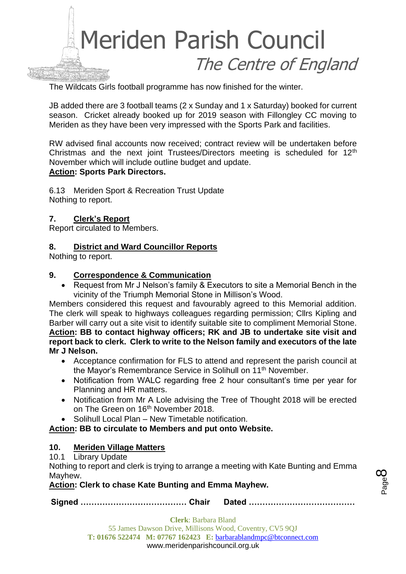

The Wildcats Girls football programme has now finished for the winter.

JB added there are 3 football teams (2 x Sunday and 1 x Saturday) booked for current season. Cricket already booked up for 2019 season with Fillongley CC moving to Meriden as they have been very impressed with the Sports Park and facilities.

RW advised final accounts now received; contract review will be undertaken before Christmas and the next joint Trustees/Directors meeting is scheduled for 12<sup>th</sup> November which will include outline budget and update. **Action: Sports Park Directors.**

6.13 Meriden Sport & Recreation Trust Update Nothing to report.

#### **7. Clerk's Report**

Report circulated to Members.

#### **8. District and Ward Councillor Reports**

Nothing to report.

#### **9. Correspondence & Communication**

• Request from Mr J Nelson's family & Executors to site a Memorial Bench in the vicinity of the Triumph Memorial Stone in Millison's Wood.

Members considered this request and favourably agreed to this Memorial addition. The clerk will speak to highways colleagues regarding permission; Cllrs Kipling and Barber will carry out a site visit to identify suitable site to compliment Memorial Stone. **Action: BB to contact highway officers; RK and JB to undertake site visit and report back to clerk. Clerk to write to the Nelson family and executors of the late Mr J Nelson.**

- Acceptance confirmation for FLS to attend and represent the parish council at the Mayor's Remembrance Service in Solihull on 11th November.
- Notification from WALC regarding free 2 hour consultant's time per year for Planning and HR matters.
- Notification from Mr A Lole advising the Tree of Thought 2018 will be erected on The Green on 16<sup>th</sup> November 2018.
- Solihull Local Plan New Timetable notification.

**Action: BB to circulate to Members and put onto Website.**

#### **10. Meriden Village Matters**

#### 10.1 Library Update

Nothing to report and clerk is trying to arrange a meeting with Kate Bunting and Emma Mayhew.

#### **Action: Clerk to chase Kate Bunting and Emma Mayhew.**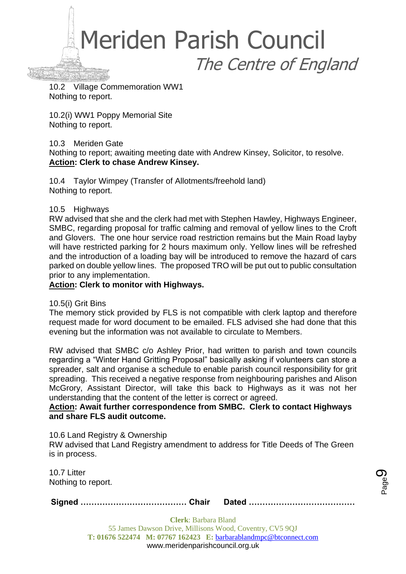Meriden Parish Council The Centre of England

10.2 Village Commemoration WW1 Nothing to report.

10.2(i) WW1 Poppy Memorial Site Nothing to report.

#### 10.3 Meriden Gate

Nothing to report; awaiting meeting date with Andrew Kinsey, Solicitor, to resolve. **Action: Clerk to chase Andrew Kinsey.**

10.4 Taylor Wimpey (Transfer of Allotments/freehold land) Nothing to report.

#### 10.5 Highways

RW advised that she and the clerk had met with Stephen Hawley, Highways Engineer, SMBC, regarding proposal for traffic calming and removal of yellow lines to the Croft and Glovers. The one hour service road restriction remains but the Main Road layby will have restricted parking for 2 hours maximum only. Yellow lines will be refreshed and the introduction of a loading bay will be introduced to remove the hazard of cars parked on double yellow lines. The proposed TRO will be put out to public consultation prior to any implementation.

#### **Action: Clerk to monitor with Highways.**

#### 10.5(i) Grit Bins

The memory stick provided by FLS is not compatible with clerk laptop and therefore request made for word document to be emailed. FLS advised she had done that this evening but the information was not available to circulate to Members.

RW advised that SMBC c/o Ashley Prior, had written to parish and town councils regarding a "Winter Hand Gritting Proposal" basically asking if volunteers can store a spreader, salt and organise a schedule to enable parish council responsibility for grit spreading. This received a negative response from neighbouring parishes and Alison McGrory, Assistant Director, will take this back to Highways as it was not her understanding that the content of the letter is correct or agreed.

#### **Action: Await further correspondence from SMBC. Clerk to contact Highways and share FLS audit outcome.**

10.6 Land Registry & Ownership

RW advised that Land Registry amendment to address for Title Deeds of The Green is in process.

10.7 Litter Nothing to report.

**Signed ………………………………… Chair Dated …………………………………**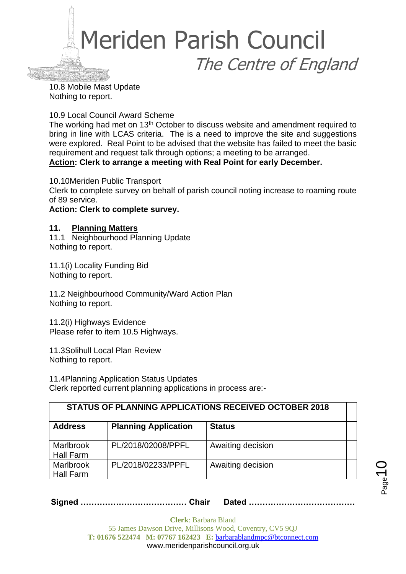

10.8 Mobile Mast Update Nothing to report.

10.9 Local Council Award Scheme

The working had met on 13<sup>th</sup> October to discuss website and amendment required to bring in line with LCAS criteria. The is a need to improve the site and suggestions were explored. Real Point to be advised that the website has failed to meet the basic requirement and request talk through options; a meeting to be arranged. **Action: Clerk to arrange a meeting with Real Point for early December.** 

10.10Meriden Public Transport

Clerk to complete survey on behalf of parish council noting increase to roaming route of 89 service.

#### **Action: Clerk to complete survey.**

#### **11. Planning Matters**

11.1 Neighbourhood Planning Update Nothing to report.

11.1(i) Locality Funding Bid Nothing to report.

11.2 Neighbourhood Community/Ward Action Plan Nothing to report.

11.2(i) Highways Evidence Please refer to item 10.5 Highways.

11.3Solihull Local Plan Review Nothing to report.

11.4Planning Application Status Updates Clerk reported current planning applications in process are:-

| <b>STATUS OF PLANNING APPLICATIONS RECEIVED OCTOBER 2018</b> |                             |                   |  |  |
|--------------------------------------------------------------|-----------------------------|-------------------|--|--|
| <b>Address</b>                                               | <b>Planning Application</b> | <b>Status</b>     |  |  |
| <b>Marlbrook</b><br><b>Hall Farm</b>                         | PL/2018/02008/PPFL          | Awaiting decision |  |  |
| <b>Marlbrook</b><br>Hall Farm                                | PL/2018/02233/PPFL          | Awaiting decision |  |  |

**Signed ………………………………… Chair Dated …………………………………**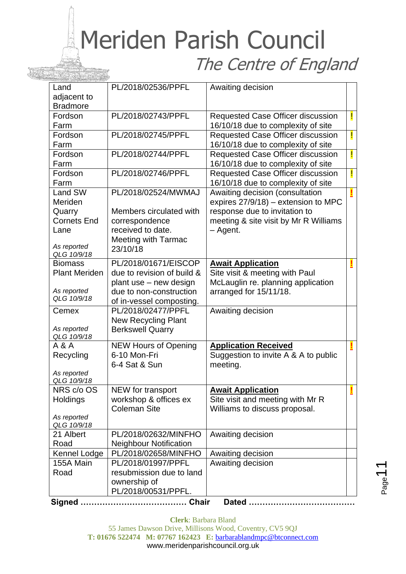## Meriden Parish Council The Centre of England

| Land                       | PL/2018/02536/PPFL            | Awaiting decision                                                       |   |
|----------------------------|-------------------------------|-------------------------------------------------------------------------|---|
| adjacent to                |                               |                                                                         |   |
| <b>Bradmore</b>            |                               |                                                                         |   |
| Fordson<br>Farm            | PL/2018/02743/PPFL            | Requested Case Officer discussion<br>16/10/18 due to complexity of site | Ţ |
| Fordson                    | PL/2018/02745/PPFL            |                                                                         | Ţ |
| Farm                       |                               | Requested Case Officer discussion<br>16/10/18 due to complexity of site |   |
| Fordson                    | PL/2018/02744/PPFL            | Requested Case Officer discussion                                       | Ţ |
| Farm                       |                               | 16/10/18 due to complexity of site                                      |   |
| Fordson                    | PL/2018/02746/PPFL            | <b>Requested Case Officer discussion</b>                                | Ţ |
| Farm                       |                               | 16/10/18 due to complexity of site                                      |   |
| Land SW                    | PL/2018/02524/MWMAJ           | Awaiting decision (consultation                                         |   |
| Meriden                    |                               | expires 27/9/18) – extension to MPC                                     |   |
| Quarry                     | Members circulated with       | response due to invitation to                                           |   |
| <b>Cornets End</b>         | correspondence                | meeting & site visit by Mr R Williams                                   |   |
| Lane                       | received to date.             | - Agent.                                                                |   |
| As reported                | <b>Meeting with Tarmac</b>    |                                                                         |   |
| QLG 10/9/18                | 23/10/18                      |                                                                         |   |
| <b>Biomass</b>             | PL/2018/01671/EISCOP          | <b>Await Application</b>                                                |   |
| <b>Plant Meriden</b>       | due to revision of build &    | Site visit & meeting with Paul                                          |   |
|                            | plant use - new design        | McLauglin re. planning application                                      |   |
| As reported                | due to non-construction       | arranged for 15/11/18.                                                  |   |
| QLG 10/9/18                | of in-vessel composting.      |                                                                         |   |
| Cemex                      | PL/2018/02477/PPFL            | Awaiting decision                                                       |   |
|                            | <b>New Recycling Plant</b>    |                                                                         |   |
| As reported<br>QLG 10/9/18 | <b>Berkswell Quarry</b>       |                                                                         |   |
| A & A                      | <b>NEW Hours of Opening</b>   | <b>Application Received</b>                                             |   |
| Recycling                  | 6-10 Mon-Fri                  | Suggestion to invite A & A to public                                    |   |
|                            | 6-4 Sat & Sun                 | meeting.                                                                |   |
| As reported                |                               |                                                                         |   |
| QLG 10/9/18                |                               |                                                                         |   |
| NRS c/o OS                 | NEW for transport             | <b>Await Application</b>                                                |   |
| Holdings                   | workshop & offices ex         | Site visit and meeting with Mr R                                        |   |
| As reported                | <b>Coleman Site</b>           | Williams to discuss proposal.                                           |   |
| QLG 10/9/18                |                               |                                                                         |   |
| 21 Albert                  | PL/2018/02632/MINFHO          | Awaiting decision                                                       |   |
| Road                       | <b>Neighbour Notification</b> |                                                                         |   |
| Kennel Lodge               | PL/2018/02658/MINFHO          | Awaiting decision                                                       |   |
| 155A Main                  | PL/2018/01997/PPFL            | Awaiting decision                                                       |   |
| Road                       | resubmission due to land      |                                                                         |   |
|                            | ownership of                  |                                                                         |   |
|                            | PL/2018/00531/PPFL.           |                                                                         |   |